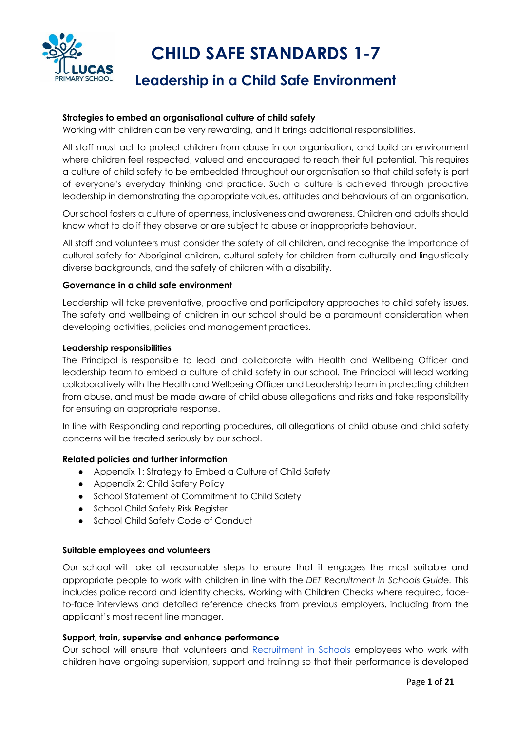

# **CHILD SAFE STANDARDS 1-7**

## **Leadership in a Child Safe Environment**

#### **Strategies to embed an organisational culture of child safety**

Working with children can be very rewarding, and it brings additional responsibilities.

All staff must act to protect children from abuse in our organisation, and build an environment where children feel respected, valued and encouraged to reach their full potential. This requires a culture of child safety to be embedded throughout our organisation so that child safety is part of everyone's everyday thinking and practice. Such a culture is achieved through proactive leadership in demonstrating the appropriate values, attitudes and behaviours of an organisation.

Our school fosters a culture of openness, inclusiveness and awareness. Children and adults should know what to do if they observe or are subject to abuse or inappropriate behaviour.

All staff and volunteers must consider the safety of all children, and recognise the importance of cultural safety for Aboriginal children, cultural safety for children from culturally and linguistically diverse backgrounds, and the safety of children with a disability.

#### **Governance in a child safe environment**

Leadership will take preventative, proactive and participatory approaches to child safety issues. The safety and wellbeing of children in our school should be a paramount consideration when developing activities, policies and management practices.

#### **Leadership responsibilities**

The Principal is responsible to lead and collaborate with Health and Wellbeing Officer and leadership team to embed a culture of child safety in our school. The Principal will lead working collaboratively with the Health and Wellbeing Officer and Leadership team in protecting children from abuse, and must be made aware of child abuse allegations and risks and take responsibility for ensuring an appropriate response.

In line with Responding and reporting procedures, all allegations of child abuse and child safety concerns will be treated seriously by our school.

#### **Related policies and further information**

- Appendix 1: Strategy to Embed a Culture of Child Safety
- Appendix 2: Child Safety Policy
- School Statement of Commitment to Child Safety
- School Child Safety Risk Register
- School Child Safety Code of Conduct

#### **Suitable employees and volunteers**

Our school will take all reasonable steps to ensure that it engages the most suitable and appropriate people to work with children in line with the *DET Recruitment in Schools Guide.* This includes police record and identity checks, Working with Children Checks where required, faceto-face interviews and detailed reference checks from previous employers, including from the applicant's most recent line manager.

#### **Support, train, supervise and enhance performance**

Our school will ensure that volunteers and Recruitment in Schools employees who work with children have ongoing supervision, support and training so that their performance is developed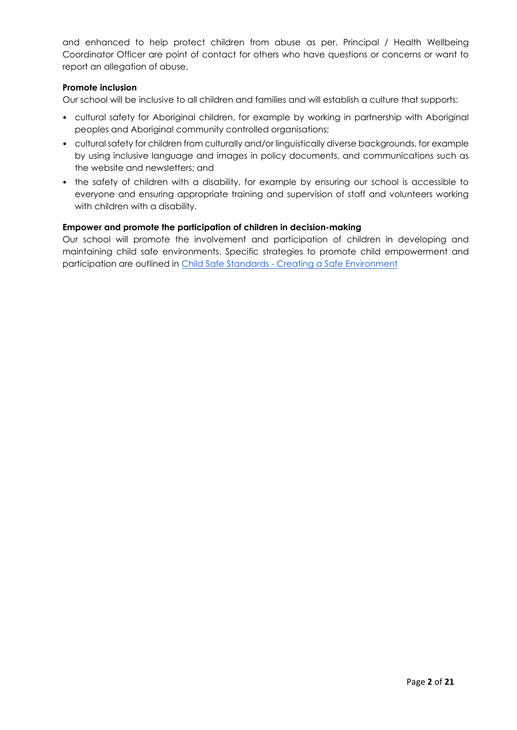and enhanced to help protect children from abuse as per. Principal / Health Wellbeing Coordinator Officer are point of contact for others who have questions or concerns or want to report an allegation of abuse.

#### **Promote inclusion**

Our school will be inclusive to all children and families and will establish a culture that supports:

- cultural safety for Aboriginal children, for example by working in partnership with Aboriginal peoples and Aboriginal community controlled organisations;
- cultural safety for children from culturally and/or linguistically diverse backgrounds, for example by using inclusive language and images in policy documents, and communications such as the website and newsletters; and
- the safety of children with a disability, for example by ensuring our school is accessible to everyone and ensuring appropriate training and supervision of staff and volunteers working with children with a disability.

#### **Empower and promote the participation of children in decision-making**

Our school will promote the involvement and participation of children in developing and maintaining child safe environments. Specific strategies to promote child empowerment and participation are outlined in Child Safe Standards - Creating a Safe Environment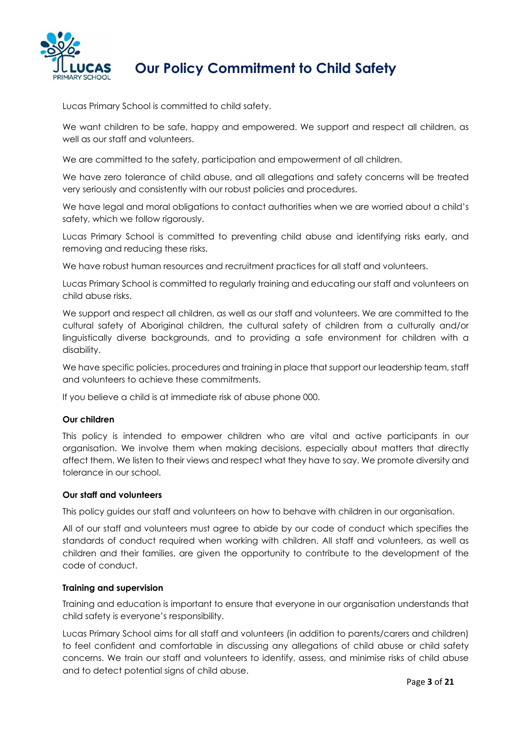

# **Our Policy Commitment to Child Safety**

Lucas Primary School is committed to child safety.

We want children to be safe, happy and empowered. We support and respect all children, as well as our staff and volunteers.

We are committed to the safety, participation and empowerment of all children.

We have zero tolerance of child abuse, and all allegations and safety concerns will be treated very seriously and consistently with our robust policies and procedures.

We have legal and moral obligations to contact authorities when we are worried about a child's safety, which we follow rigorously.

Lucas Primary School is committed to preventing child abuse and identifying risks early, and removing and reducing these risks.

We have robust human resources and recruitment practices for all staff and volunteers.

Lucas Primary School is committed to regularly training and educating our staff and volunteers on child abuse risks.

We support and respect all children, as well as our staff and volunteers. We are committed to the cultural safety of Aboriginal children, the cultural safety of children from a culturally and/or linguistically diverse backgrounds, and to providing a safe environment for children with a disability.

We have specific policies, procedures and training in place that support our leadership team, staff and volunteers to achieve these commitments.

If you believe a child is at immediate risk of abuse phone 000.

#### **Our children**

This policy is intended to empower children who are vital and active participants in our organisation. We involve them when making decisions, especially about matters that directly affect them. We listen to their views and respect what they have to say. We promote diversity and tolerance in our school.

#### **Our staff and volunteers**

This policy guides our staff and volunteers on how to behave with children in our organisation.

All of our staff and volunteers must agree to abide by our code of conduct which specifies the standards of conduct required when working with children. All staff and volunteers, as well as children and their families, are given the opportunity to contribute to the development of the code of conduct.

#### **Training and supervision**

Training and education is important to ensure that everyone in our organisation understands that child safety is everyone's responsibility.

Lucas Primary School aims for all staff and volunteers (in addition to parents/carers and children) to feel confident and comfortable in discussing any allegations of child abuse or child safety concerns. We train our staff and volunteers to identify, assess, and minimise risks of child abuse and to detect potential signs of child abuse.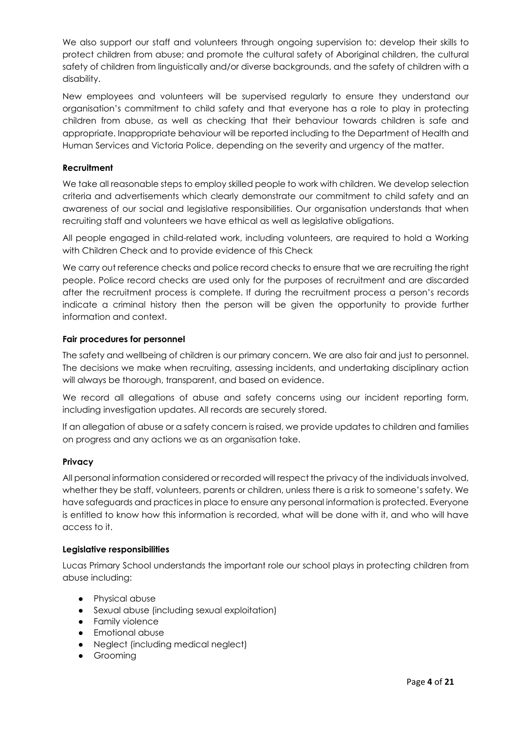We also support our staff and volunteers through ongoing supervision to: develop their skills to protect children from abuse; and promote the cultural safety of Aboriginal children, the cultural safety of children from linguistically and/or diverse backgrounds, and the safety of children with a disability.

New employees and volunteers will be supervised regularly to ensure they understand our organisation's commitment to child safety and that everyone has a role to play in protecting children from abuse, as well as checking that their behaviour towards children is safe and appropriate. Inappropriate behaviour will be reported including to the Department of Health and Human Services and Victoria Police, depending on the severity and urgency of the matter.

#### **Recruitment**

We take all reasonable steps to employ skilled people to work with children. We develop selection criteria and advertisements which clearly demonstrate our commitment to child safety and an awareness of our social and legislative responsibilities. Our organisation understands that when recruiting staff and volunteers we have ethical as well as legislative obligations.

All people engaged in child-related work, including volunteers, are required to hold a Working with Children Check and to provide evidence of this Check

We carry out reference checks and police record checks to ensure that we are recruiting the right people. Police record checks are used only for the purposes of recruitment and are discarded after the recruitment process is complete. If during the recruitment process a person's records indicate a criminal history then the person will be given the opportunity to provide further information and context.

#### **Fair procedures for personnel**

The safety and wellbeing of children is our primary concern. We are also fair and just to personnel. The decisions we make when recruiting, assessing incidents, and undertaking disciplinary action will always be thorough, transparent, and based on evidence.

We record all allegations of abuse and safety concerns using our incident reporting form, including investigation updates. All records are securely stored.

If an allegation of abuse or a safety concern is raised, we provide updates to children and families on progress and any actions we as an organisation take.

#### **Privacy**

All personal information considered or recorded will respect the privacy of the individuals involved, whether they be staff, volunteers, parents or children, unless there is a risk to someone's safety. We have safeguards and practices in place to ensure any personal information is protected. Everyone is entitled to know how this information is recorded, what will be done with it, and who will have access to it.

#### **Legislative responsibilities**

Lucas Primary School understands the important role our school plays in protecting children from abuse including:

- Physical abuse
- Sexual abuse (including sexual exploitation)
- Family violence
- Emotional abuse
- Neglect (including medical neglect)
- Grooming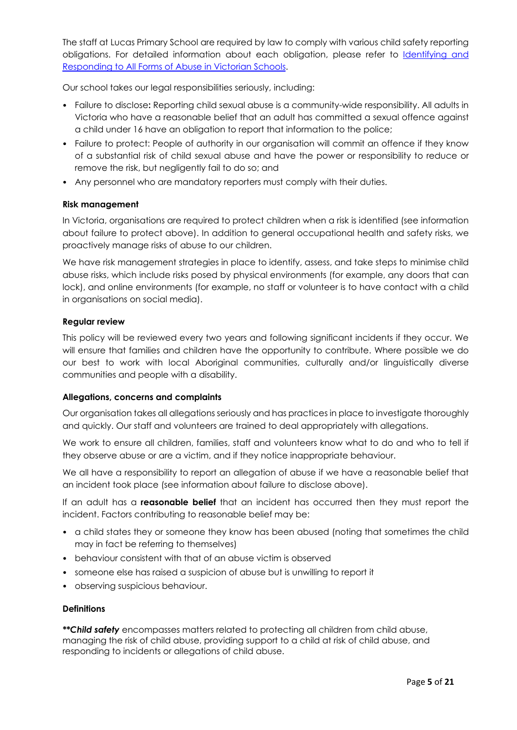The staff at Lucas Primary School are required by law to comply with various child safety reporting obligations. For detailed information about each obligation, please refer to Identifying and Responding to All Forms of Abuse in Victorian Schools.

Our school takes our legal responsibilities seriously, including:

- Failure to disclose**:** Reporting child sexual abuse is a community-wide responsibility. All adults in Victoria who have a reasonable belief that an adult has committed a sexual offence against a child under 16 have an obligation to report that information to the police;
- Failure to protect: People of authority in our organisation will commit an offence if they know of a substantial risk of child sexual abuse and have the power or responsibility to reduce or remove the risk, but negligently fail to do so; and
- Any personnel who are mandatory reporters must comply with their duties.

#### **Risk management**

In Victoria, organisations are required to protect children when a risk is identified (see information about failure to protect above). In addition to general occupational health and safety risks, we proactively manage risks of abuse to our children.

We have risk management strategies in place to identify, assess, and take steps to minimise child abuse risks, which include risks posed by physical environments (for example, any doors that can lock), and online environments (for example, no staff or volunteer is to have contact with a child in organisations on social media).

#### **Regular review**

This policy will be reviewed every two years and following significant incidents if they occur. We will ensure that families and children have the opportunity to contribute. Where possible we do our best to work with local Aboriginal communities, culturally and/or linguistically diverse communities and people with a disability.

#### **Allegations, concerns and complaints**

Our organisation takes all allegations seriously and has practices in place to investigate thoroughly and quickly. Our staff and volunteers are trained to deal appropriately with allegations.

We work to ensure all children, families, staff and volunteers know what to do and who to tell if they observe abuse or are a victim, and if they notice inappropriate behaviour.

We all have a responsibility to report an allegation of abuse if we have a reasonable belief that an incident took place (see information about failure to disclose above).

If an adult has a **reasonable belief** that an incident has occurred then they must report the incident. Factors contributing to reasonable belief may be:

- a child states they or someone they know has been abused (noting that sometimes the child may in fact be referring to themselves)
- behaviour consistent with that of an abuse victim is observed
- someone else has raised a suspicion of abuse but is unwilling to report it
- observing suspicious behaviour.

#### **Definitions**

*\*\*Child safety* encompasses matters related to protecting all children from child abuse, managing the risk of child abuse, providing support to a child at risk of child abuse, and responding to incidents or allegations of child abuse.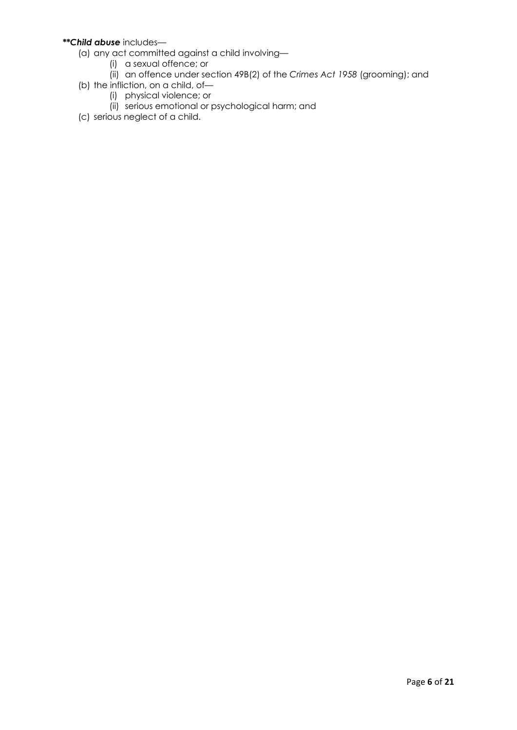#### *\*\*Child abuse* includes—

- (a) any act committed against a child involving—
	- (i) a sexual offence; or
	- (ii) an offence under section 49B(2) of the *Crimes Act 1958* (grooming); and
- (b) the infliction, on a child, of—
	- (i) physical violence; or
	- (ii) serious emotional or psychological harm; and
- (c) serious neglect of a child.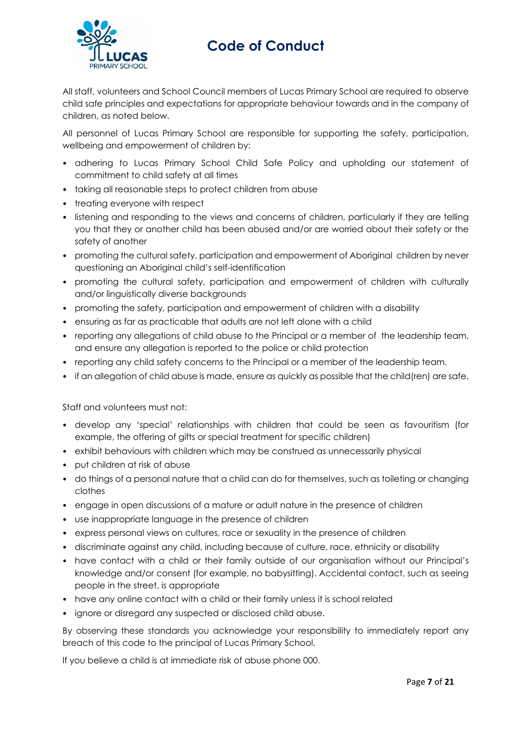

# **Code of Conduct**

All staff, volunteers and School Council members of Lucas Primary School are required to observe child safe principles and expectations for appropriate behaviour towards and in the company of children, as noted below.

All personnel of Lucas Primary School are responsible for supporting the safety, participation, wellbeing and empowerment of children by:

- adhering to Lucas Primary School Child Safe Policy and upholding our statement of commitment to child safety at all times
- taking all reasonable steps to protect children from abuse
- treating everyone with respect
- listening and responding to the views and concerns of children, particularly if they are telling you that they or another child has been abused and/or are worried about their safety or the safety of another
- promoting the cultural safety, participation and empowerment of Aboriginal children by never questioning an Aboriginal child's self-identification
- promoting the cultural safety, participation and empowerment of children with culturally and/or linguistically diverse backgrounds
- promoting the safety, participation and empowerment of children with a disability
- ensuring as far as practicable that adults are not left alone with a child
- reporting any allegations of child abuse to the Principal or a member of the leadership team, and ensure any allegation is reported to the police or child protection
- reporting any child safety concerns to the Principal or a member of the leadership team.
- if an allegation of child abuse is made, ensure as quickly as possible that the child(ren) are safe.

Staff and volunteers must not:

- develop any 'special' relationships with children that could be seen as favouritism (for example, the offering of gifts or special treatment for specific children)
- exhibit behaviours with children which may be construed as unnecessarily physical
- put children at risk of abuse
- do things of a personal nature that a child can do for themselves, such as toileting or changing clothes
- engage in open discussions of a mature or adult nature in the presence of children
- use inappropriate language in the presence of children
- express personal views on cultures, race or sexuality in the presence of children
- discriminate against any child, including because of culture, race, ethnicity or disability
- have contact with a child or their family outside of our organisation without our Principal's knowledge and/or consent (for example, no babysitting). Accidental contact, such as seeing people in the street, is appropriate
- have any online contact with a child or their family unless it is school related
- ignore or disregard any suspected or disclosed child abuse.

By observing these standards you acknowledge your responsibility to immediately report any breach of this code to the principal of Lucas Primary School.

If you believe a child is at immediate risk of abuse phone 000.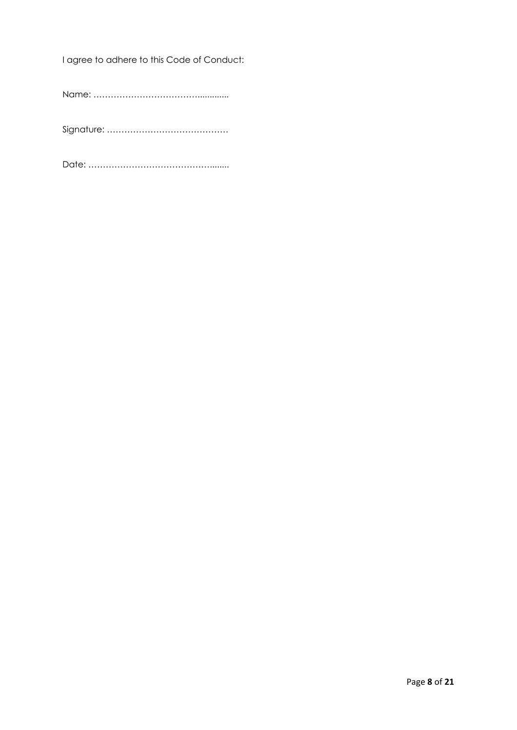I agree to adhere to this Code of Conduct:

Name: ……………………………….............

Signature: ……………………………………

Date: ……………………………………........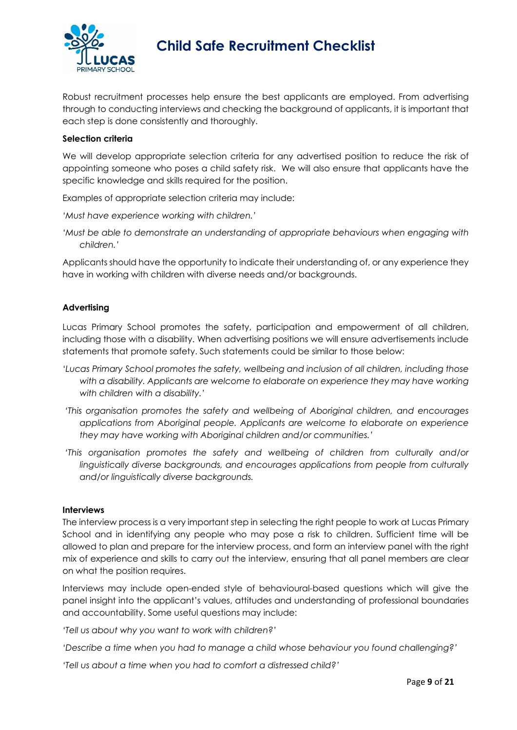

Robust recruitment processes help ensure the best applicants are employed. From advertising through to conducting interviews and checking the background of applicants, it is important that each step is done consistently and thoroughly.

#### **Selection criteria**

We will develop appropriate selection criteria for any advertised position to reduce the risk of appointing someone who poses a child safety risk. We will also ensure that applicants have the specific knowledge and skills required for the position.

Examples of appropriate selection criteria may include:

*'Must have experience working with children.'* 

*'Must be able to demonstrate an understanding of appropriate behaviours when engaging with children.'* 

Applicants should have the opportunity to indicate their understanding of, or any experience they have in working with children with diverse needs and/or backgrounds.

#### **Advertising**

Lucas Primary School promotes the safety, participation and empowerment of all children, including those with a disability. When advertising positions we will ensure advertisements include statements that promote safety. Such statements could be similar to those below:

- *'Lucas Primary School promotes the safety, wellbeing and inclusion of all children, including those with a disability. Applicants are welcome to elaborate on experience they may have working with children with a disability.'*
- *'This organisation promotes the safety and wellbeing of Aboriginal children, and encourages applications from Aboriginal people. Applicants are welcome to elaborate on experience they may have working with Aboriginal children and/or communities.'*
- *'This organisation promotes the safety and wellbeing of children from culturally and/or linguistically diverse backgrounds, and encourages applications from people from culturally and/or linguistically diverse backgrounds.*

#### **Interviews**

The interview process is a very important step in selecting the right people to work at Lucas Primary School and in identifying any people who may pose a risk to children. Sufficient time will be allowed to plan and prepare for the interview process, and form an interview panel with the right mix of experience and skills to carry out the interview, ensuring that all panel members are clear on what the position requires.

Interviews may include open-ended style of behavioural-based questions which will give the panel insight into the applicant's values, attitudes and understanding of professional boundaries and accountability. Some useful questions may include:

*'Tell us about why you want to work with children?'* 

*'Describe a time when you had to manage a child whose behaviour you found challenging?'* 

*'Tell us about a time when you had to comfort a distressed child?'*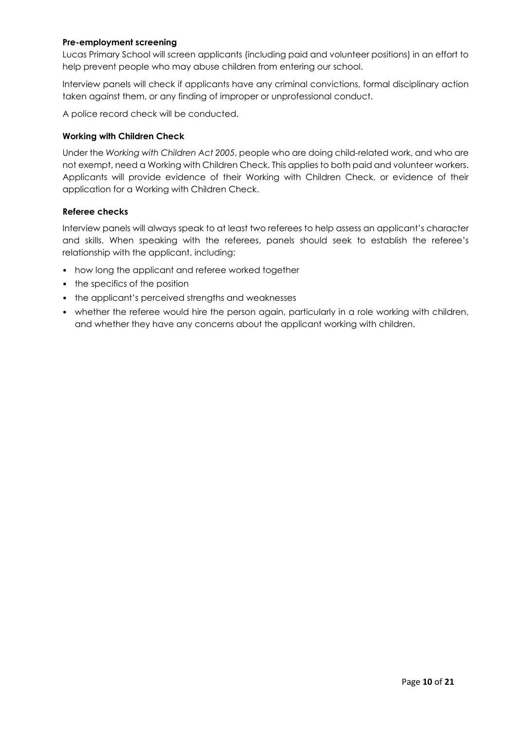#### **Pre-employment screening**

Lucas Primary School will screen applicants (including paid and volunteer positions) in an effort to help prevent people who may abuse children from entering our school.

Interview panels will check if applicants have any criminal convictions, formal disciplinary action taken against them, or any finding of improper or unprofessional conduct.

A police record check will be conducted.

#### **Working with Children Check**

Under the *Working with Children Act 2005*, people who are doing child-related work, and who are not exempt, need a Working with Children Check. This applies to both paid and volunteer workers. Applicants will provide evidence of their Working with Children Check, or evidence of their application for a Working with Children Check.

#### **Referee checks**

Interview panels will always speak to at least two referees to help assess an applicant's character and skills. When speaking with the referees, panels should seek to establish the referee's relationship with the applicant, including:

- how long the applicant and referee worked together
- the specifics of the position
- the applicant's perceived strengths and weaknesses
- whether the referee would hire the person again, particularly in a role working with children, and whether they have any concerns about the applicant working with children.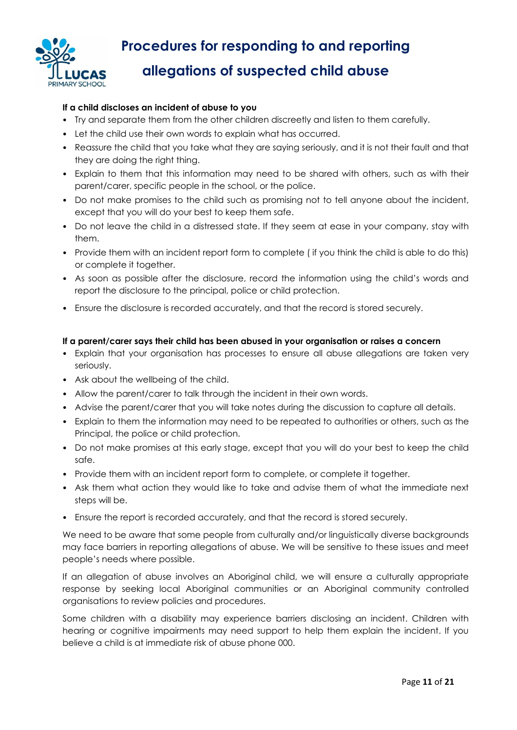

# **Procedures for responding to and reporting allegations of suspected child abuse**

#### **If a child discloses an incident of abuse to you**

- Try and separate them from the other children discreetly and listen to them carefully.
- Let the child use their own words to explain what has occurred.
- Reassure the child that you take what they are saying seriously, and it is not their fault and that they are doing the right thing.
- Explain to them that this information may need to be shared with others, such as with their parent/carer, specific people in the school, or the police.
- Do not make promises to the child such as promising not to tell anyone about the incident, except that you will do your best to keep them safe.
- Do not leave the child in a distressed state. If they seem at ease in your company, stay with them.
- Provide them with an incident report form to complete ( if you think the child is able to do this) or complete it together.
- As soon as possible after the disclosure, record the information using the child's words and report the disclosure to the principal, police or child protection.
- Ensure the disclosure is recorded accurately, and that the record is stored securely.

#### **If a parent/carer says their child has been abused in your organisation or raises a concern**

- Explain that your organisation has processes to ensure all abuse allegations are taken very seriously.
- Ask about the wellbeing of the child.
- Allow the parent/carer to talk through the incident in their own words.
- Advise the parent/carer that you will take notes during the discussion to capture all details.
- Explain to them the information may need to be repeated to authorities or others, such as the Principal, the police or child protection.
- Do not make promises at this early stage, except that you will do your best to keep the child safe.
- Provide them with an incident report form to complete, or complete it together.
- Ask them what action they would like to take and advise them of what the immediate next steps will be.
- Ensure the report is recorded accurately, and that the record is stored securely.

We need to be aware that some people from culturally and/or linguistically diverse backgrounds may face barriers in reporting allegations of abuse. We will be sensitive to these issues and meet people's needs where possible.

If an allegation of abuse involves an Aboriginal child, we will ensure a culturally appropriate response by seeking local Aboriginal communities or an Aboriginal community controlled organisations to review policies and procedures.

Some children with a disability may experience barriers disclosing an incident. Children with hearing or cognitive impairments may need support to help them explain the incident. If you believe a child is at immediate risk of abuse phone 000.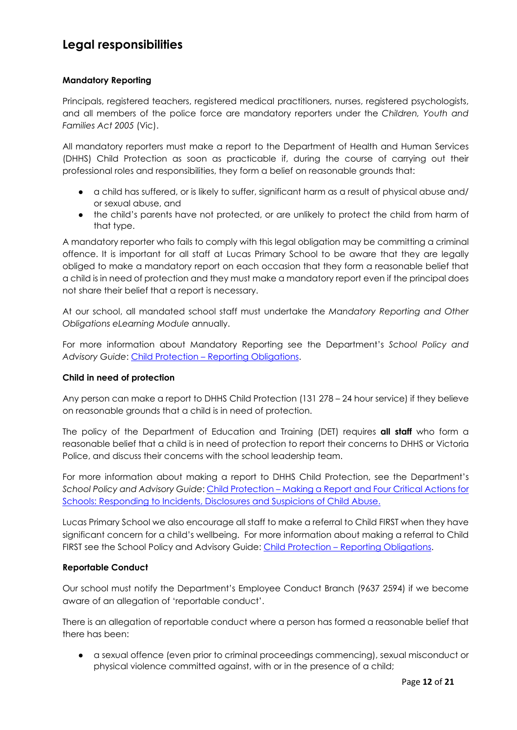### **Legal responsibilities**

#### **Mandatory Reporting**

Principals, registered teachers, registered medical practitioners, nurses, registered psychologists, and all members of the police force are mandatory reporters under the *Children, Youth and Families Act 2005* (Vic).

All mandatory reporters must make a report to the Department of Health and Human Services (DHHS) Child Protection as soon as practicable if, during the course of carrying out their professional roles and responsibilities, they form a belief on reasonable grounds that:

- a child has suffered, or is likely to suffer, significant harm as a result of physical abuse and/ or sexual abuse, and
- the child's parents have not protected, or are unlikely to protect the child from harm of that type.

A mandatory reporter who fails to comply with this legal obligation may be committing a criminal offence. It is important for all staff at Lucas Primary School to be aware that they are legally obliged to make a mandatory report on each occasion that they form a reasonable belief that a child is in need of protection and they must make a mandatory report even if the principal does not share their belief that a report is necessary.

At our school, all mandated school staff must undertake the *Mandatory Reporting and Other Obligations eLearning Module* annually.

For more information about Mandatory Reporting see the Department's *School Policy and Advisory Guide*: Child Protection – Reporting Obligations.

#### **Child in need of protection**

Any person can make a report to DHHS Child Protection (131 278 – 24 hour service) if they believe on reasonable grounds that a child is in need of protection.

The policy of the Department of Education and Training (DET) requires **all staff** who form a reasonable belief that a child is in need of protection to report their concerns to DHHS or Victoria Police, and discuss their concerns with the school leadership team.

For more information about making a report to DHHS Child Protection, see the Department's *School Policy and Advisory Guide*: Child Protection – Making a Report and Four Critical Actions for Schools: Responding to Incidents, Disclosures and Suspicions of Child Abuse.

Lucas Primary School we also encourage all staff to make a referral to Child FIRST when they have significant concern for a child's wellbeing. For more information about making a referral to Child FIRST see the School Policy and Advisory Guide: Child Protection – Reporting Obligations.

#### **Reportable Conduct**

Our school must notify the Department's Employee Conduct Branch (9637 2594) if we become aware of an allegation of 'reportable conduct'.

There is an allegation of reportable conduct where a person has formed a reasonable belief that there has been:

● a sexual offence (even prior to criminal proceedings commencing), sexual misconduct or physical violence committed against, with or in the presence of a child;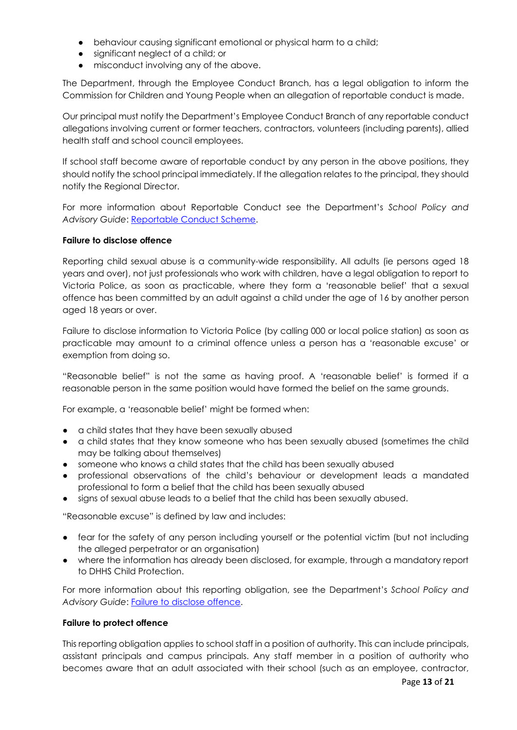- behaviour causing significant emotional or physical harm to a child;
- significant neglect of a child; or
- misconduct involving any of the above.

The Department, through the Employee Conduct Branch, has a legal obligation to inform the Commission for Children and Young People when an allegation of reportable conduct is made.

Our principal must notify the Department's Employee Conduct Branch of any reportable conduct allegations involving current or former teachers, contractors, volunteers (including parents), allied health staff and school council employees.

If school staff become aware of reportable conduct by any person in the above positions, they should notify the school principal immediately. If the allegation relates to the principal, they should notify the Regional Director.

For more information about Reportable Conduct see the Department's *School Policy and Advisory Guide*: Reportable Conduct Scheme.

#### **Failure to disclose offence**

Reporting child sexual abuse is a community-wide responsibility. All adults (ie persons aged 18 years and over), not just professionals who work with children, have a legal obligation to report to Victoria Police, as soon as practicable, where they form a 'reasonable belief' that a sexual offence has been committed by an adult against a child under the age of 16 by another person aged 18 years or over.

Failure to disclose information to Victoria Police (by calling 000 or local police station) as soon as practicable may amount to a criminal offence unless a person has a 'reasonable excuse' or exemption from doing so.

"Reasonable belief" is not the same as having proof. A 'reasonable belief' is formed if a reasonable person in the same position would have formed the belief on the same grounds.

For example, a 'reasonable belief' might be formed when:

- a child states that they have been sexually abused
- a child states that they know someone who has been sexually abused (sometimes the child may be talking about themselves)
- someone who knows a child states that the child has been sexually abused
- professional observations of the child's behaviour or development leads a mandated professional to form a belief that the child has been sexually abused
- signs of sexual abuse leads to a belief that the child has been sexually abused.

"Reasonable excuse" is defined by law and includes:

- fear for the safety of any person including yourself or the potential victim (but not including the alleged perpetrator or an organisation)
- where the information has already been disclosed, for example, through a mandatory report to DHHS Child Protection.

For more information about this reporting obligation, see the Department's *School Policy and*  Advisory Guide: Failure to disclose offence.

#### **Failure to protect offence**

This reporting obligation applies to school staff in a position of authority. This can include principals, assistant principals and campus principals. Any staff member in a position of authority who becomes aware that an adult associated with their school (such as an employee, contractor,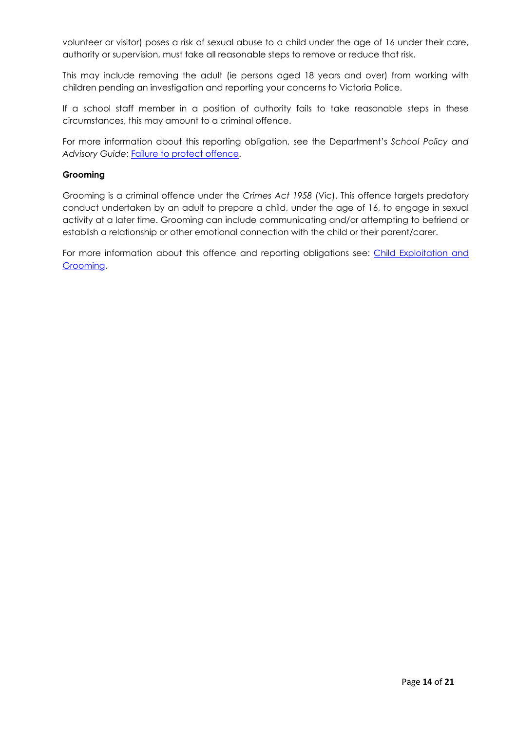volunteer or visitor) poses a risk of sexual abuse to a child under the age of 16 under their care, authority or supervision, must take all reasonable steps to remove or reduce that risk.

This may include removing the adult (ie persons aged 18 years and over) from working with children pending an investigation and reporting your concerns to Victoria Police.

If a school staff member in a position of authority fails to take reasonable steps in these circumstances, this may amount to a criminal offence.

For more information about this reporting obligation, see the Department's *School Policy and*  Advisory Guide: Failure to protect offence.

#### **Grooming**

Grooming is a criminal offence under the *Crimes Act 1958* (Vic). This offence targets predatory conduct undertaken by an adult to prepare a child, under the age of 16, to engage in sexual activity at a later time. Grooming can include communicating and/or attempting to befriend or establish a relationship or other emotional connection with the child or their parent/carer.

For more information about this offence and reporting obligations see: Child Exploitation and Grooming.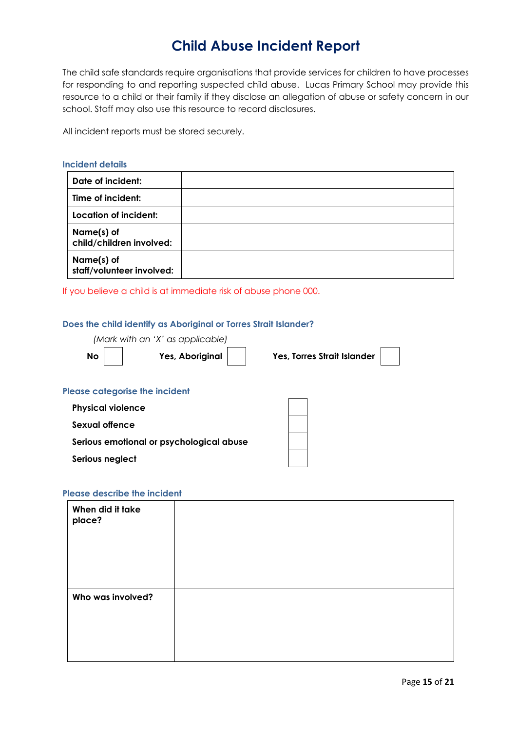## **Child Abuse Incident Report**

The child safe standards require organisations that provide services for children to have processes for responding to and reporting suspected child abuse. Lucas Primary School may provide this resource to a child or their family if they disclose an allegation of abuse or safety concern in our school. Staff may also use this resource to record disclosures.

All incident reports must be stored securely.

#### **Incident details**

| Date of incident:                       |  |
|-----------------------------------------|--|
| Time of incident:                       |  |
| Location of incident:                   |  |
| Name(s) of<br>child/children involved:  |  |
| Name(s) of<br>staff/volunteer involved: |  |

If you believe a child is at immediate risk of abuse phone 000.

#### **Does the child identify as Aboriginal or Torres Strait Islander?**

*(Mark with an 'X' as applicable)* 

 **No Yes, Aboriginal Yes, Torres Strait Islander**

#### **Please categorise the incident**

| <b>Physical violence</b>                 |  |
|------------------------------------------|--|
| Sexual offence                           |  |
| Serious emotional or psychological abuse |  |
| Serious neglect                          |  |

#### **Please describe the incident**

| When did it take<br>place? |  |  |
|----------------------------|--|--|
|                            |  |  |
| Who was involved?          |  |  |
|                            |  |  |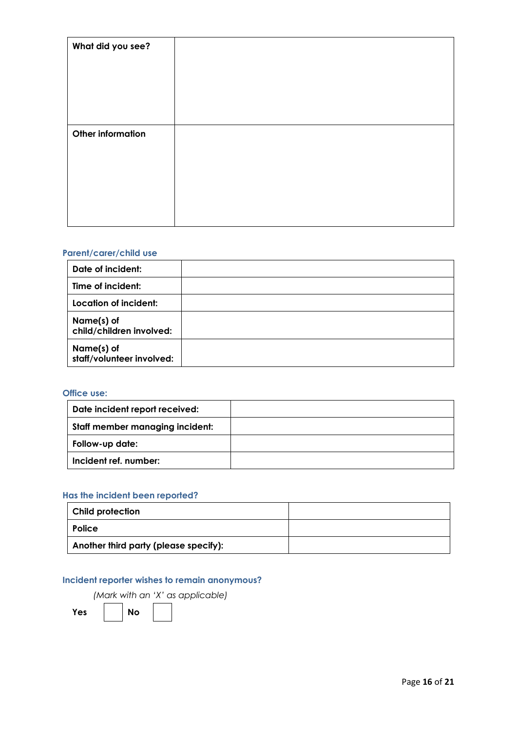| What did you see?        |  |
|--------------------------|--|
| <b>Other information</b> |  |

### **Parent/carer/child use**

| Date of incident:                       |  |
|-----------------------------------------|--|
| Time of incident:                       |  |
| Location of incident:                   |  |
| Name(s) of<br>child/children involved:  |  |
| Name(s) of<br>staff/volunteer involved: |  |

#### **Office use:**

| Date incident report received:  |  |
|---------------------------------|--|
| Staff member managing incident: |  |
| Follow-up date:                 |  |
| Incident ref. number:           |  |

#### **Has the incident been reported?**

| Child protection                      |  |
|---------------------------------------|--|
| <b>Police</b>                         |  |
| Another third party (please specify): |  |

### **Incident reporter wishes to remain anonymous?**

*(Mark with an 'X' as applicable)* 

Yes | No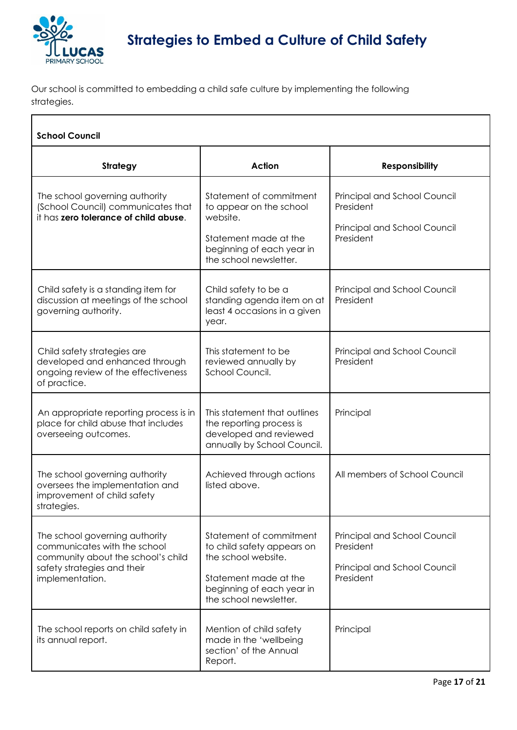

Our school is committed to embedding a child safe culture by implementing the following strategies.

| <b>School Council</b>                                                                                                                                  |                                                                                                                                                              |                                                                                        |  |
|--------------------------------------------------------------------------------------------------------------------------------------------------------|--------------------------------------------------------------------------------------------------------------------------------------------------------------|----------------------------------------------------------------------------------------|--|
| Strategy                                                                                                                                               | Action                                                                                                                                                       | <b>Responsibility</b>                                                                  |  |
| The school governing authority<br>(School Council) communicates that<br>it has zero tolerance of child abuse.                                          | Statement of commitment<br>to appear on the school<br>website.<br>Statement made at the<br>beginning of each year in<br>the school newsletter.               | Principal and School Council<br>President<br>Principal and School Council<br>President |  |
| Child safety is a standing item for<br>discussion at meetings of the school<br>governing authority.                                                    | Child safety to be a<br>standing agenda item on at<br>least 4 occasions in a given<br>year.                                                                  | Principal and School Council<br>President                                              |  |
| Child safety strategies are<br>developed and enhanced through<br>ongoing review of the effectiveness<br>of practice.                                   | This statement to be<br>reviewed annually by<br>School Council.                                                                                              | Principal and School Council<br>President                                              |  |
| An appropriate reporting process is in<br>place for child abuse that includes<br>overseeing outcomes.                                                  | This statement that outlines<br>the reporting process is<br>developed and reviewed<br>annually by School Council.                                            | Principal                                                                              |  |
| The school governing authority<br>oversees the implementation and<br>improvement of child safety<br>strategies.                                        | Achieved through actions<br>listed above.                                                                                                                    | All members of School Council                                                          |  |
| The school governing authority<br>communicates with the school<br>community about the school's child<br>safety strategies and their<br>implementation. | Statement of commitment<br>to child safety appears on<br>the school website.<br>Statement made at the<br>beginning of each year in<br>the school newsletter. | Principal and School Council<br>President<br>Principal and School Council<br>President |  |
| The school reports on child safety in<br>its annual report.                                                                                            | Mention of child safety<br>made in the 'wellbeing<br>section' of the Annual<br>Report.                                                                       | Principal                                                                              |  |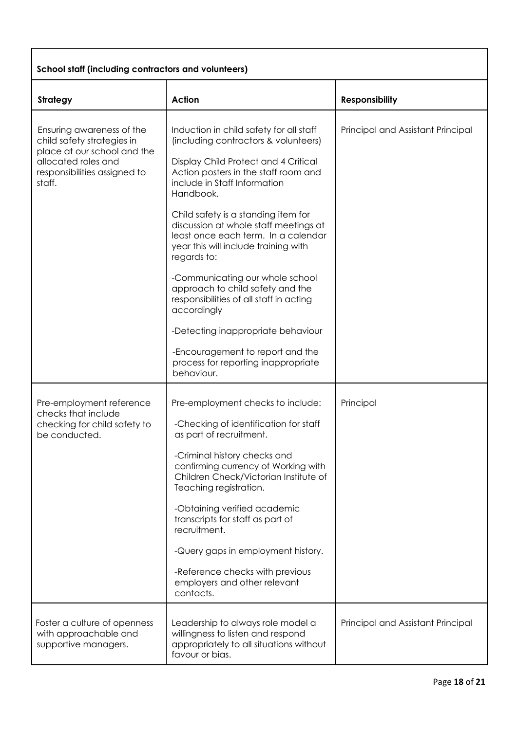### **School staff (including contractors and volunteers)**

| <b>Strategy</b>                                                                                                                                         | <b>Action</b>                                                                                                                                                                                                                                                                                                                                                                                                                                                                                                                                                                                                                                              | <b>Responsibility</b>             |
|---------------------------------------------------------------------------------------------------------------------------------------------------------|------------------------------------------------------------------------------------------------------------------------------------------------------------------------------------------------------------------------------------------------------------------------------------------------------------------------------------------------------------------------------------------------------------------------------------------------------------------------------------------------------------------------------------------------------------------------------------------------------------------------------------------------------------|-----------------------------------|
| Ensuring awareness of the<br>child safety strategies in<br>place at our school and the<br>allocated roles and<br>responsibilities assigned to<br>staff. | Induction in child safety for all staff<br>(including contractors & volunteers)<br>Display Child Protect and 4 Critical<br>Action posters in the staff room and<br>include in Staff Information<br>Handbook.<br>Child safety is a standing item for<br>discussion at whole staff meetings at<br>least once each term. In a calendar<br>year this will include training with<br>regards to:<br>-Communicating our whole school<br>approach to child safety and the<br>responsibilities of all staff in acting<br>accordingly<br>-Detecting inappropriate behaviour<br>-Encouragement to report and the<br>process for reporting inappropriate<br>behaviour. | Principal and Assistant Principal |
| Pre-employment reference<br>checks that include<br>checking for child safety to<br>be conducted.                                                        | Pre-employment checks to include:<br>-Checking of identification for staff<br>as part of recruitment.<br>-Criminal history checks and<br>confirming currency of Working with<br>Children Check/Victorian Institute of<br>Teaching registration.<br>-Obtaining verified academic<br>transcripts for staff as part of<br>recruitment.<br>-Query gaps in employment history.<br>-Reference checks with previous<br>employers and other relevant<br>contacts.                                                                                                                                                                                                  | Principal                         |
| Foster a culture of openness<br>with approachable and<br>supportive managers.                                                                           | Leadership to always role model a<br>willingness to listen and respond<br>appropriately to all situations without<br>favour or bias.                                                                                                                                                                                                                                                                                                                                                                                                                                                                                                                       | Principal and Assistant Principal |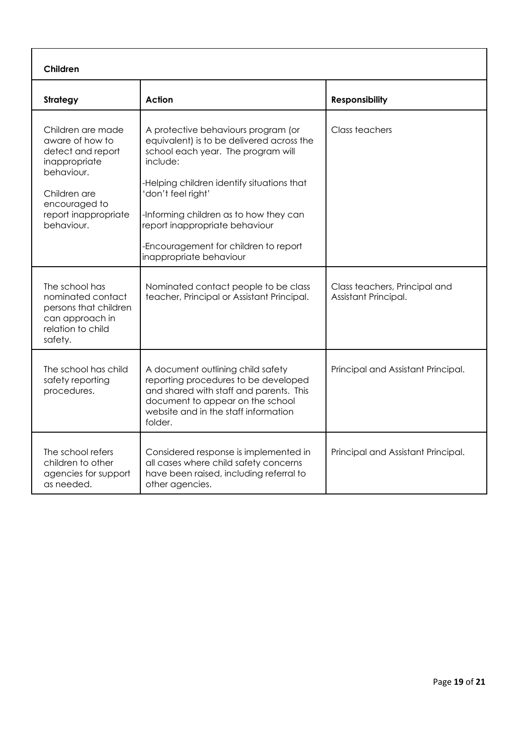| Children                                                                                                                                                        |                                                                                                                                                                                                                                                                                                                                                       |                                                       |
|-----------------------------------------------------------------------------------------------------------------------------------------------------------------|-------------------------------------------------------------------------------------------------------------------------------------------------------------------------------------------------------------------------------------------------------------------------------------------------------------------------------------------------------|-------------------------------------------------------|
| <b>Strategy</b>                                                                                                                                                 | <b>Action</b>                                                                                                                                                                                                                                                                                                                                         | <b>Responsibility</b>                                 |
| Children are made<br>aware of how to<br>detect and report<br>inappropriate<br>behaviour.<br>Children are<br>encouraged to<br>report inappropriate<br>behaviour. | A protective behaviours program (or<br>equivalent) is to be delivered across the<br>school each year. The program will<br>include:<br>Helping children identify situations that<br>'don't feel right'<br>-Informing children as to how they can<br>report inappropriate behaviour<br>-Encouragement for children to report<br>inappropriate behaviour | Class teachers                                        |
| The school has<br>nominated contact<br>persons that children<br>can approach in<br>relation to child<br>safety.                                                 | Nominated contact people to be class<br>teacher, Principal or Assistant Principal.                                                                                                                                                                                                                                                                    | Class teachers, Principal and<br>Assistant Principal. |
| The school has child<br>safety reporting<br>procedures.                                                                                                         | A document outlining child safety<br>reporting procedures to be developed<br>and shared with staff and parents. This<br>document to appear on the school<br>website and in the staff information<br>folder.                                                                                                                                           | Principal and Assistant Principal.                    |
| The school refers<br>children to other<br>agencies for support<br>as needed.                                                                                    | Considered response is implemented in<br>all cases where child safety concerns<br>have been raised, including referral to<br>other agencies.                                                                                                                                                                                                          | Principal and Assistant Principal.                    |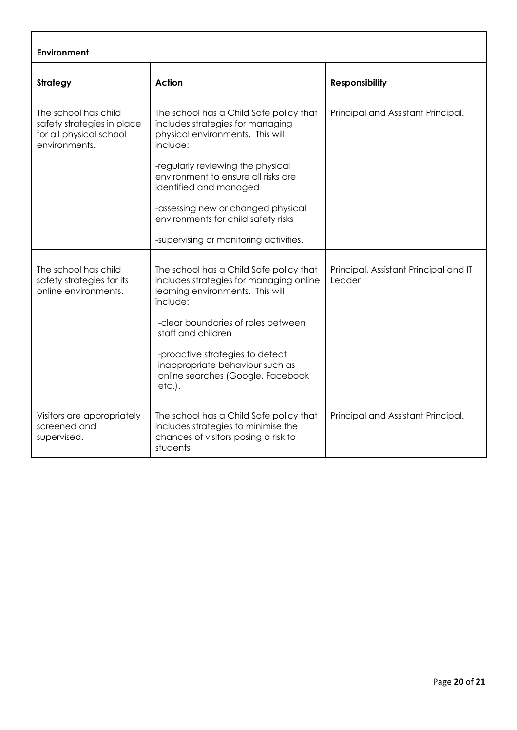| <b>Environment</b>                                                                             |                                                                                                                                                                                                                                                                                                                                                          |                                                 |  |
|------------------------------------------------------------------------------------------------|----------------------------------------------------------------------------------------------------------------------------------------------------------------------------------------------------------------------------------------------------------------------------------------------------------------------------------------------------------|-------------------------------------------------|--|
| <b>Strategy</b>                                                                                | <b>Action</b>                                                                                                                                                                                                                                                                                                                                            | <b>Responsibility</b>                           |  |
| The school has child<br>safety strategies in place<br>for all physical school<br>environments. | The school has a Child Safe policy that<br>includes strategies for managing<br>physical environments. This will<br>include:<br>-regularly reviewing the physical<br>environment to ensure all risks are<br>identified and managed<br>-assessing new or changed physical<br>environments for child safety risks<br>-supervising or monitoring activities. | Principal and Assistant Principal.              |  |
| The school has child<br>safety strategies for its<br>online environments.                      | The school has a Child Safe policy that<br>includes strategies for managing online<br>learning environments. This will<br>include:<br>-clear boundaries of roles between<br>staff and children<br>-proactive strategies to detect<br>inappropriate behaviour such as<br>online searches (Google, Facebook<br>etc.).                                      | Principal, Assistant Principal and IT<br>Leader |  |
| Visitors are appropriately<br>screened and<br>supervised.                                      | The school has a Child Safe policy that<br>includes strategies to minimise the<br>chances of visitors posing a risk to<br>students                                                                                                                                                                                                                       | Principal and Assistant Principal.              |  |